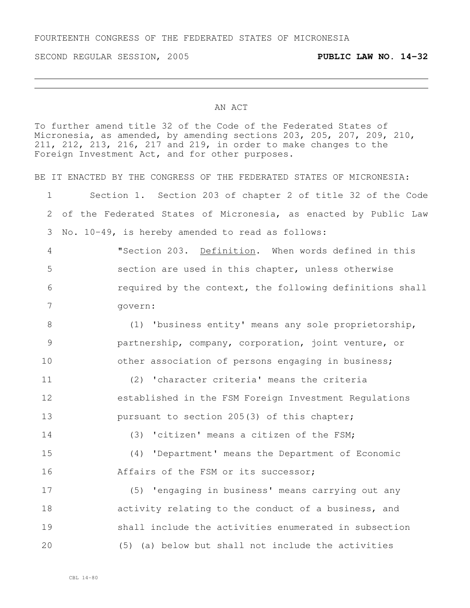SECOND REGULAR SESSION, 2005 **PUBLIC LAW NO. 14-32**

#### AN ACT

To further amend title 32 of the Code of the Federated States of Micronesia, as amended, by amending sections 203, 205, 207, 209, 210, 211, 212, 213, 216, 217 and 219, in order to make changes to the Foreign Investment Act, and for other purposes.

BE IT ENACTED BY THE CONGRESS OF THE FEDERATED STATES OF MICRONESIA:

 Section 1. Section 203 of chapter 2 of title 32 of the Code of the Federated States of Micronesia, as enacted by Public Law No. 10-49, is hereby amended to read as follows:

 "Section 203. Definition. When words defined in this section are used in this chapter, unless otherwise required by the context, the following definitions shall govern:

8 (1) 'business entity' means any sole proprietorship, partnership, company, corporation, joint venture, or 10 other association of persons engaging in business;

 (2) 'character criteria' means the criteria established in the FSM Foreign Investment Regulations **pursuant to section 205(3)** of this chapter;

 (3) 'citizen' means a citizen of the FSM; (4) 'Department' means the Department of Economic Affairs of the FSM or its successor;

 (5) 'engaging in business' means carrying out any activity relating to the conduct of a business, and shall include the activities enumerated in subsection (5) (a) below but shall not include the activities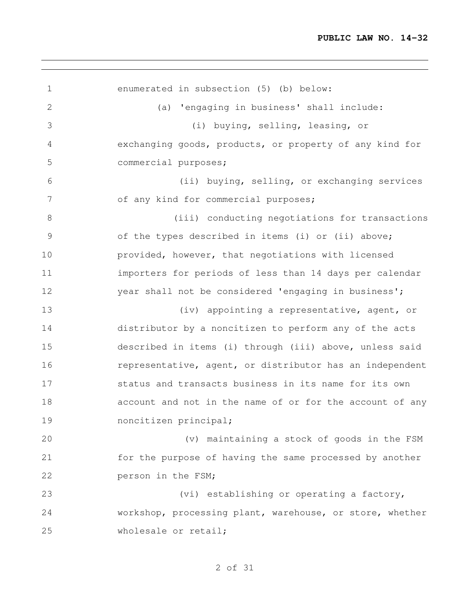<u> 1989 - Johann Stoff, deutscher Stoff, der Stoff, der Stoff, der Stoff, der Stoff, der Stoff, der Stoff, der S</u>

| 1              | enumerated in subsection (5) (b) below:                  |
|----------------|----------------------------------------------------------|
| $\mathbf{2}$   | (a) 'engaging in business' shall include:                |
| 3              | (i) buying, selling, leasing, or                         |
| $\overline{4}$ | exchanging goods, products, or property of any kind for  |
| 5              | commercial purposes;                                     |
| 6              | (ii) buying, selling, or exchanging services             |
| 7              | of any kind for commercial purposes;                     |
| $8\,$          | (iii) conducting negotiations for transactions           |
| $\mathcal{G}$  | of the types described in items (i) or (ii) above;       |
| 10             | provided, however, that negotiations with licensed       |
| 11             | importers for periods of less than 14 days per calendar  |
| 12             | year shall not be considered 'engaging in business';     |
| 13             | (iv) appointing a representative, agent, or              |
| 14             | distributor by a noncitizen to perform any of the acts   |
| 15             | described in items (i) through (iii) above, unless said  |
| 16             | representative, agent, or distributor has an independent |
| 17             | status and transacts business in its name for its own    |
| 18             | account and not in the name of or for the account of any |
| 19             | noncitizen principal;                                    |
| 20             | (v) maintaining a stock of goods in the FSM              |
| 21             | for the purpose of having the same processed by another  |
| 22             | person in the FSM;                                       |
| 23             | (vi) establishing or operating a factory,                |
| 24             | workshop, processing plant, warehouse, or store, whether |
| 25             | wholesale or retail;                                     |

<u> 1989 - Johann Stoff, deutscher Stoff, der Stoff, der Stoff, der Stoff, der Stoff, der Stoff, der Stoff, der S</u>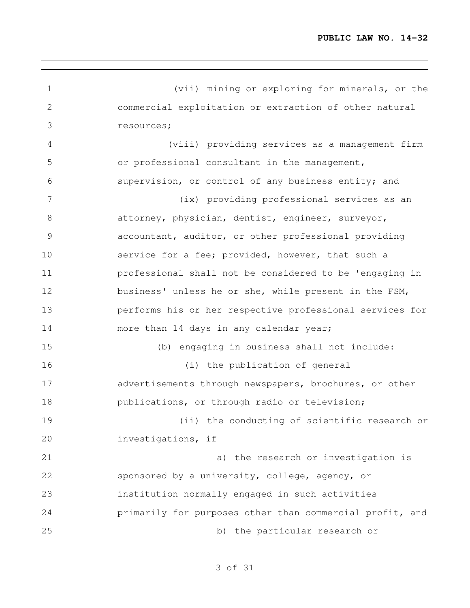(vii) mining or exploring for minerals, or the commercial exploitation or extraction of other natural resources; (viii) providing services as a management firm or professional consultant in the management, supervision, or control of any business entity; and (ix) providing professional services as an attorney, physician, dentist, engineer, surveyor, accountant, auditor, or other professional providing service for a fee; provided, however, that such a professional shall not be considered to be 'engaging in business' unless he or she, while present in the FSM, performs his or her respective professional services for more than 14 days in any calendar year; (b) engaging in business shall not include: (i) the publication of general 17 advertisements through newspapers, brochures, or other publications, or through radio or television; (ii) the conducting of scientific research or investigations, if a) the research or investigation is sponsored by a university, college, agency, or institution normally engaged in such activities primarily for purposes other than commercial profit, and b) the particular research or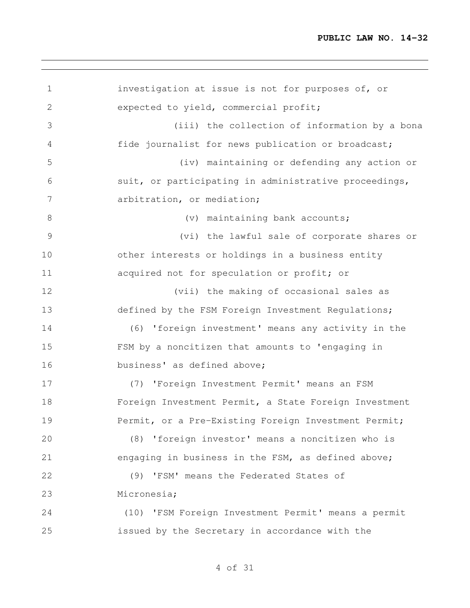```
1 investigation at issue is not for purposes of, or
2 expected to yield, commercial profit;
3 (iii) the collection of information by a bona
4 fide journalist for news publication or broadcast;
5 (iv) maintaining or defending any action or
6 suit, or participating in administrative proceedings,
7 arbitration, or mediation;
8 (v) maintaining bank accounts;
9 (vi) the lawful sale of corporate shares or
10 other interests or holdings in a business entity
11 acquired not for speculation or profit; or
12 (vii) the making of occasional sales as
13 defined by the FSM Foreign Investment Regulations;
14 (6) 'foreign investment' means any activity in the
15 FSM by a noncitizen that amounts to 'engaging in
16 business' as defined above;
17 (7) 'Foreign Investment Permit' means an FSM
18 Foreign Investment Permit, a State Foreign Investment
19 Permit, or a Pre-Existing Foreign Investment Permit;
20 (8) 'foreign investor' means a noncitizen who is
21 engaging in business in the FSM, as defined above;
22 (9) 'FSM' means the Federated States of
23 Micronesia;
24 (10) 'FSM Foreign Investment Permit' means a permit
25 issued by the Secretary in accordance with the
```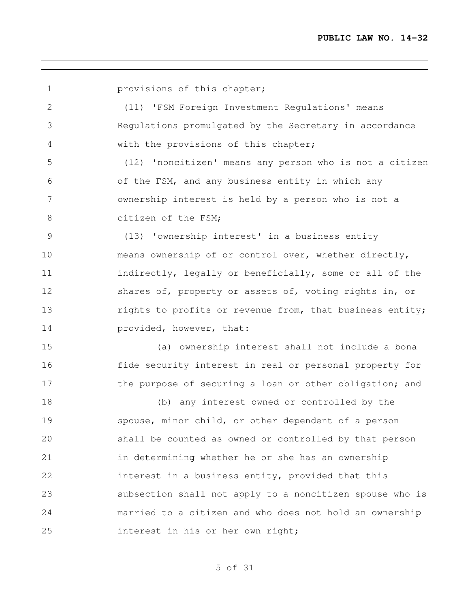**provisions of this chapter;**  (11) 'FSM Foreign Investment Regulations' means Regulations promulgated by the Secretary in accordance with the provisions of this chapter; (12) 'noncitizen' means any person who is not a citizen of the FSM, and any business entity in which any ownership interest is held by a person who is not a 8 citizen of the FSM; (13) 'ownership interest' in a business entity means ownership of or control over, whether directly, indirectly, legally or beneficially, some or all of the 12 shares of, property or assets of, voting rights in, or **rights to profits or revenue from, that business entity; provided**, however, that: (a) ownership interest shall not include a bona fide security interest in real or personal property for 17 the purpose of securing a loan or other obligation; and (b) any interest owned or controlled by the spouse, minor child, or other dependent of a person shall be counted as owned or controlled by that person in determining whether he or she has an ownership interest in a business entity, provided that this subsection shall not apply to a noncitizen spouse who is married to a citizen and who does not hold an ownership interest in his or her own right;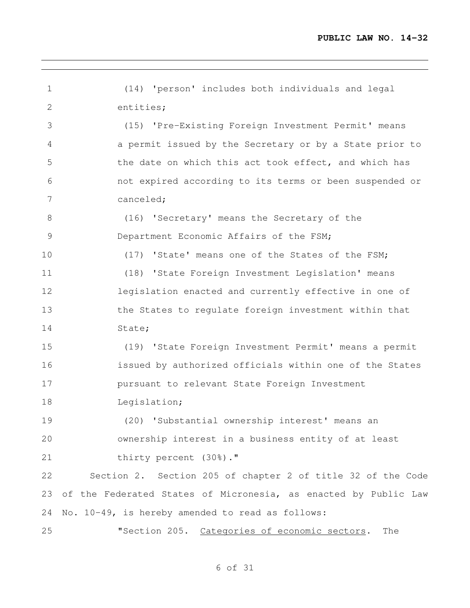(14) 'person' includes both individuals and legal entities; (15) 'Pre-Existing Foreign Investment Permit' means a permit issued by the Secretary or by a State prior to 5 the date on which this act took effect, and which has not expired according to its terms or been suspended or canceled; (16) 'Secretary' means the Secretary of the 9 Department Economic Affairs of the FSM; (17) 'State' means one of the States of the FSM; (18) 'State Foreign Investment Legislation' means legislation enacted and currently effective in one of the States to regulate foreign investment within that 14 State; (19) 'State Foreign Investment Permit' means a permit issued by authorized officials within one of the States pursuant to relevant State Foreign Investment 18 Leqislation; (20) 'Substantial ownership interest' means an ownership interest in a business entity of at least 21 thirty percent (30%)." Section 2. Section 205 of chapter 2 of title 32 of the Code of the Federated States of Micronesia, as enacted by Public Law No. 10-49, is hereby amended to read as follows: "Section 205. Categories of economic sectors. The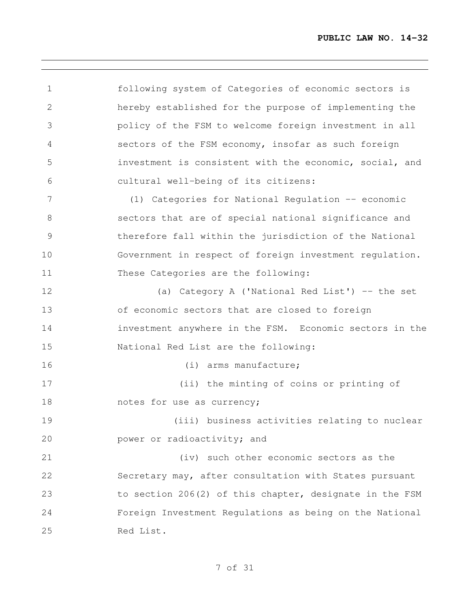following system of Categories of economic sectors is hereby established for the purpose of implementing the policy of the FSM to welcome foreign investment in all sectors of the FSM economy, insofar as such foreign investment is consistent with the economic, social, and cultural well-being of its citizens: (1) Categories for National Regulation -- economic sectors that are of special national significance and therefore fall within the jurisdiction of the National Government in respect of foreign investment regulation. These Categories are the following: (a) Category A ('National Red List') -- the set of economic sectors that are closed to foreign investment anywhere in the FSM. Economic sectors in the National Red List are the following: 16 (i) arms manufacture; (ii) the minting of coins or printing of 18 notes for use as currency; (iii) business activities relating to nuclear **power or radioactivity; and**  (iv) such other economic sectors as the Secretary may, after consultation with States pursuant to section 206(2) of this chapter, designate in the FSM Foreign Investment Regulations as being on the National Red List.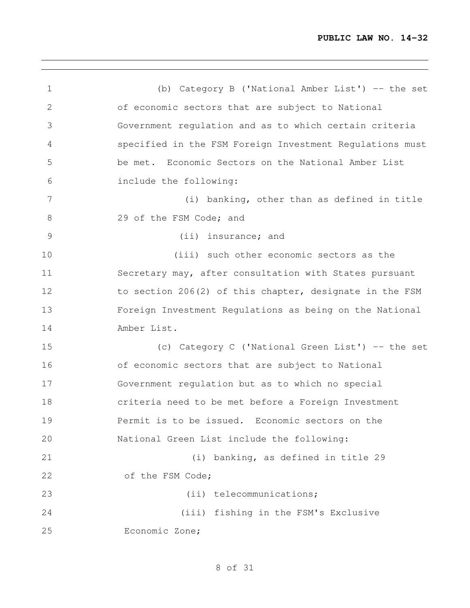<u> 1980 - Johann Barbara, martxa alemaniar argumento este alemaniar alemaniar alemaniar alemaniar alemaniar al</u>

| $\mathbf 1$  | (b) Category B ('National Amber List') $-$ the set       |
|--------------|----------------------------------------------------------|
| $\mathbf{2}$ | of economic sectors that are subject to National         |
| 3            | Government regulation and as to which certain criteria   |
| 4            | specified in the FSM Foreign Investment Regulations must |
| 5            | be met. Economic Sectors on the National Amber List      |
| 6            | include the following:                                   |
| 7            | (i) banking, other than as defined in title              |
| 8            | 29 of the FSM Code; and                                  |
| 9            | (ii) insurance; and                                      |
| 10           | (iii) such other economic sectors as the                 |
| 11           | Secretary may, after consultation with States pursuant   |
| 12           | to section 206(2) of this chapter, designate in the FSM  |
| 13           | Foreign Investment Regulations as being on the National  |
| 14           | Amber List.                                              |
| 15           | (c) Category C ('National Green List') -- the set        |
| 16           | of economic sectors that are subject to National         |
| 17           | Government regulation but as to which no special         |
| 18           | criteria need to be met before a Foreign Investment      |
| 19           | Permit is to be issued. Economic sectors on the          |
| 20           | National Green List include the following:               |
| 21           | (i) banking, as defined in title 29                      |
| 22           | of the FSM Code;                                         |
| 23           | (ii) telecommunications;                                 |
| 24           | (iii) fishing in the FSM's Exclusive                     |
| 25           | Economic Zone;                                           |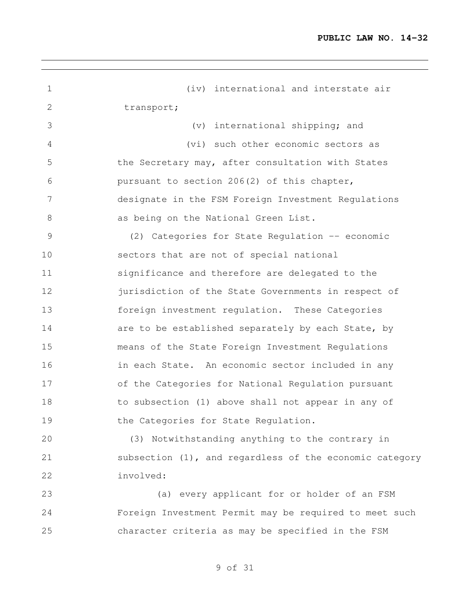<u> 1980 - Johann Barn, amerikansk politiker (d. 1980)</u>

| 1             | (iv) international and interstate air                      |
|---------------|------------------------------------------------------------|
| $\mathbf{2}$  | transport;                                                 |
| 3             | international shipping; and<br>$(\triangledown)$           |
| 4             | (vi) such other economic sectors as                        |
| 5             | the Secretary may, after consultation with States          |
| 6             | pursuant to section 206(2) of this chapter,                |
| 7             | designate in the FSM Foreign Investment Regulations        |
| 8             | as being on the National Green List.                       |
| $\mathcal{G}$ | (2) Categories for State Regulation -- economic            |
| 10            | sectors that are not of special national                   |
| 11            | significance and therefore are delegated to the            |
| 12            | jurisdiction of the State Governments in respect of        |
| 13            | foreign investment regulation. These Categories            |
| 14            | are to be established separately by each State, by         |
| 15            | means of the State Foreign Investment Regulations          |
| 16            | in each State. An economic sector included in any          |
| 17            | of the Categories for National Regulation pursuant         |
| 18            | to subsection (1) above shall not appear in any of         |
| 19            | the Categories for State Regulation.                       |
| 20            | (3) Notwithstanding anything to the contrary in            |
| 21            | subsection $(1)$ , and regardless of the economic category |
| 22            | involved:                                                  |
| 23            | (a) every applicant for or holder of an FSM                |
| 24            | Foreign Investment Permit may be required to meet such     |
| 25            | character criteria as may be specified in the FSM          |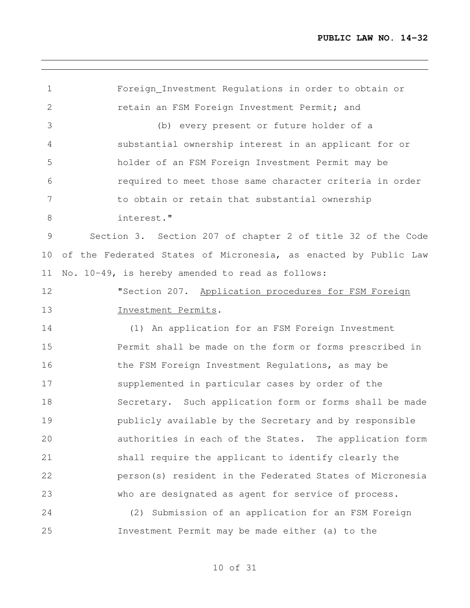<u> 1989 - Johann Stein, marwolaethau a bhann an t-Amhain an t-Amhain an t-Amhain an t-Amhain an t-Amhain an t-A</u>

| $\mathbf 1$ | Foreign_Investment Regulations in order to obtain or            |
|-------------|-----------------------------------------------------------------|
| 2           | retain an FSM Foreign Investment Permit; and                    |
| 3           | (b) every present or future holder of a                         |
| 4           | substantial ownership interest in an applicant for or           |
| 5           | holder of an FSM Foreign Investment Permit may be               |
| 6           | required to meet those same character criteria in order         |
| 7           | to obtain or retain that substantial ownership                  |
| 8           | interest."                                                      |
| 9           | Section 3. Section 207 of chapter 2 of title 32 of the Code     |
| 10          | of the Federated States of Micronesia, as enacted by Public Law |
| 11          | No. 10-49, is hereby amended to read as follows:                |
| 12          | "Section 207. Application procedures for FSM Foreign            |
| 13          | Investment Permits.                                             |
| 14          | (1) An application for an FSM Foreign Investment                |
| 15          | Permit shall be made on the form or forms prescribed in         |
| 16          | the FSM Foreign Investment Regulations, as may be               |
| 17          | supplemented in particular cases by order of the                |
| 18          | Secretary. Such application form or forms shall be made         |
| 19          | publicly available by the Secretary and by responsible          |
| 20          | authorities in each of the States. The application form         |
| 21          | shall require the applicant to identify clearly the             |
| 22          | person(s) resident in the Federated States of Micronesia        |
| 23          | who are designated as agent for service of process.             |
| 24          | (2) Submission of an application for an FSM Foreign             |
| 25          | Investment Permit may be made either (a) to the                 |

<u> 1989 - Johann Stoff, amerikansk politiker (d. 1989)</u>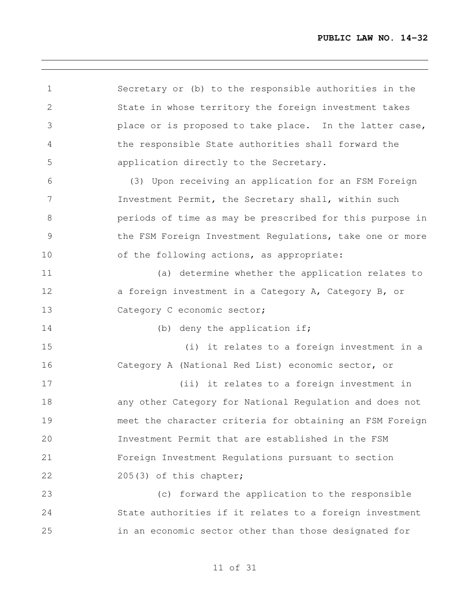Secretary or (b) to the responsible authorities in the State in whose territory the foreign investment takes place or is proposed to take place. In the latter case, the responsible State authorities shall forward the application directly to the Secretary. (3) Upon receiving an application for an FSM Foreign Investment Permit, the Secretary shall, within such periods of time as may be prescribed for this purpose in 9 the FSM Foreign Investment Regulations, take one or more 10 of the following actions, as appropriate: (a) determine whether the application relates to 12 a foreign investment in a Category A, Category B, or 13 Category C economic sector; 14 (b) deny the application if; (i) it relates to a foreign investment in a Category A (National Red List) economic sector, or (ii) it relates to a foreign investment in any other Category for National Regulation and does not meet the character criteria for obtaining an FSM Foreign Investment Permit that are established in the FSM Foreign Investment Regulations pursuant to section 205(3) of this chapter; (c) forward the application to the responsible State authorities if it relates to a foreign investment in an economic sector other than those designated for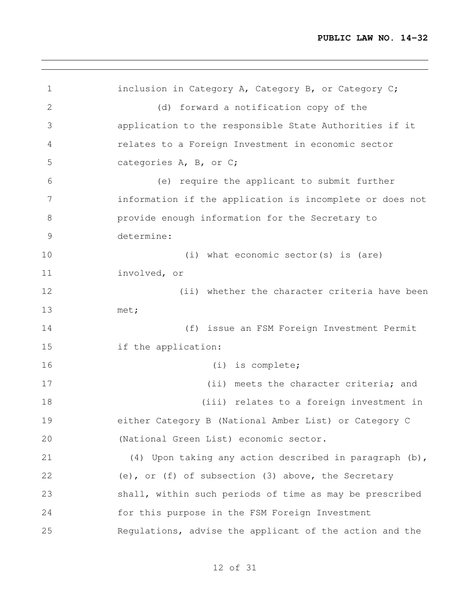```
1 inclusion in Category A, Category B, or Category C;
2 (d) forward a notification copy of the
3 application to the responsible State Authorities if it
4 relates to a Foreign Investment in economic sector
5 categories A, B, or C;
6 (e) require the applicant to submit further
7 information if the application is incomplete or does not
8 provide enough information for the Secretary to
9 determine:
10 (i) what economic sector(s) is (are)
11 involved, or
12 (ii) whether the character criteria have been
13 met;
14 (f) issue an FSM Foreign Investment Permit
15 if the application:
16 (i) is complete;
17 (ii) meets the character criteria; and
18 (iii) relates to a foreign investment in
19 either Category B (National Amber List) or Category C
20 (National Green List) economic sector.
21 (4) Upon taking any action described in paragraph (b),
22 (e), or (f) of subsection (3) above, the Secretary
23 shall, within such periods of time as may be prescribed
24 for this purpose in the FSM Foreign Investment
25 Regulations, advise the applicant of the action and the
```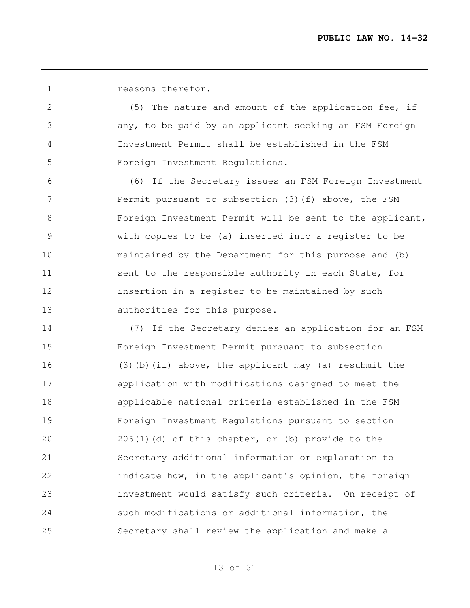reasons therefor.

 (5) The nature and amount of the application fee, if any, to be paid by an applicant seeking an FSM Foreign Investment Permit shall be established in the FSM Foreign Investment Regulations.

 (6) If the Secretary issues an FSM Foreign Investment 7 Permit pursuant to subsection (3) (f) above, the FSM 8 Foreign Investment Permit will be sent to the applicant, with copies to be (a) inserted into a register to be maintained by the Department for this purpose and (b) 11 sent to the responsible authority in each State, for insertion in a register to be maintained by such authorities for this purpose.

 (7) If the Secretary denies an application for an FSM Foreign Investment Permit pursuant to subsection (3)(b)(ii) above, the applicant may (a) resubmit the application with modifications designed to meet the applicable national criteria established in the FSM Foreign Investment Regulations pursuant to section 206(1)(d) of this chapter, or (b) provide to the Secretary additional information or explanation to 22 indicate how, in the applicant's opinion, the foreign investment would satisfy such criteria. On receipt of such modifications or additional information, the Secretary shall review the application and make a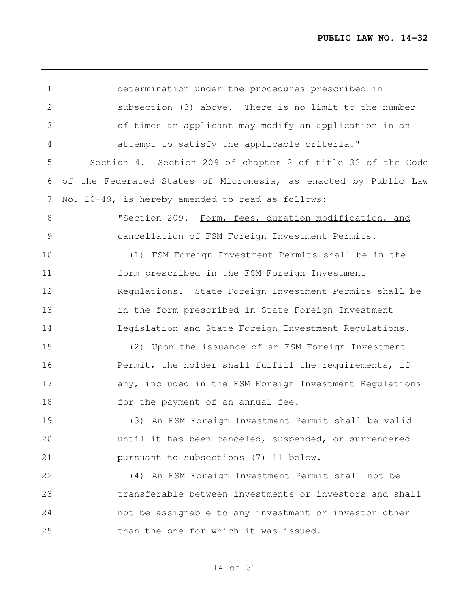| $\mathbf 1$  | determination under the procedures prescribed in                |
|--------------|-----------------------------------------------------------------|
| $\mathbf{2}$ | subsection (3) above. There is no limit to the number           |
| 3            | of times an applicant may modify an application in an           |
| 4            | attempt to satisfy the applicable criteria."                    |
| 5            | Section 4. Section 209 of chapter 2 of title 32 of the Code     |
| 6            | of the Federated States of Micronesia, as enacted by Public Law |
| 7            | No. 10-49, is hereby amended to read as follows:                |
| 8            | "Section 209. Form, fees, duration modification, and            |
| $\mathsf 9$  | cancellation of FSM Foreign Investment Permits.                 |
| 10           | (1) FSM Foreign Investment Permits shall be in the              |
| 11           | form prescribed in the FSM Foreign Investment                   |
| 12           | Regulations. State Foreign Investment Permits shall be          |
| 13           | in the form prescribed in State Foreign Investment              |
| 14           | Legislation and State Foreign Investment Regulations.           |
| 15           | (2) Upon the issuance of an FSM Foreign Investment              |
| 16           | Permit, the holder shall fulfill the requirements, if           |
| 17           | any, included in the FSM Foreign Investment Regulations         |
| 18           | for the payment of an annual fee.                               |
| 19           | (3) An FSM Foreign Investment Permit shall be valid             |
| 20           | until it has been canceled, suspended, or surrendered           |
| 21           | pursuant to subsections (7) 11 below.                           |
| 22           | (4) An FSM Foreign Investment Permit shall not be               |
| 23           | transferable between investments or investors and shall         |
| 24           | not be assignable to any investment or investor other           |
| 25           | than the one for which it was issued.                           |
|              |                                                                 |

,我们也不会有什么。""我们的人,我们也不会有什么?""我们的人,我们也不会有什么?""我们的人,我们也不会有什么?""我们的人,我们也不会有什么?""我们的人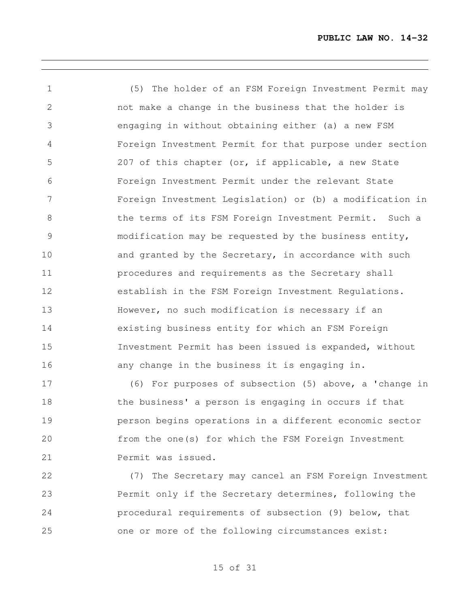(5) The holder of an FSM Foreign Investment Permit may not make a change in the business that the holder is engaging in without obtaining either (a) a new FSM Foreign Investment Permit for that purpose under section 207 of this chapter (or, if applicable, a new State Foreign Investment Permit under the relevant State Foreign Investment Legislation) or (b) a modification in 8 the terms of its FSM Foreign Investment Permit. Such a modification may be requested by the business entity, 10 and granted by the Secretary, in accordance with such procedures and requirements as the Secretary shall establish in the FSM Foreign Investment Regulations. However, no such modification is necessary if an existing business entity for which an FSM Foreign Investment Permit has been issued is expanded, without any change in the business it is engaging in.

 (6) For purposes of subsection (5) above, a 'change in the business' a person is engaging in occurs if that person begins operations in a different economic sector from the one(s) for which the FSM Foreign Investment Permit was issued.

 (7) The Secretary may cancel an FSM Foreign Investment Permit only if the Secretary determines, following the procedural requirements of subsection (9) below, that one or more of the following circumstances exist: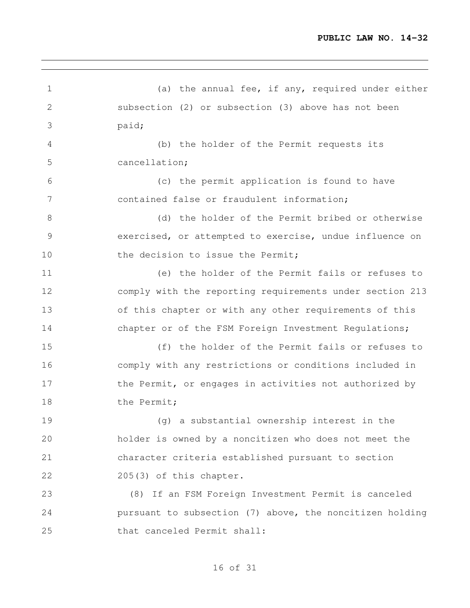<u> 1989 - Johann Stein, marwolaethau a bhann an t-Amhain an t-Amhain an t-Amhain an t-Amhain an t-Amhain an t-A</u>

| $\mathbf 1$   | (a) the annual fee, if any, required under either        |
|---------------|----------------------------------------------------------|
| $\mathbf{2}$  | subsection (2) or subsection (3) above has not been      |
| 3             | paid;                                                    |
| 4             | (b) the holder of the Permit requests its                |
| 5             | cancellation;                                            |
| 6             | (c) the permit application is found to have              |
| 7             | contained false or fraudulent information;               |
| $8\,$         | (d) the holder of the Permit bribed or otherwise         |
| $\mathcal{G}$ | exercised, or attempted to exercise, undue influence on  |
| 10            | the decision to issue the Permit;                        |
| 11            | (e) the holder of the Permit fails or refuses to         |
| 12            | comply with the reporting requirements under section 213 |
| 13            | of this chapter or with any other requirements of this   |
| 14            | chapter or of the FSM Foreign Investment Regulations;    |
| 15            | (f) the holder of the Permit fails or refuses to         |
| 16            | comply with any restrictions or conditions included in   |
| 17            | the Permit, or engages in activities not authorized by   |
| 18            | the Permit;                                              |
| 19            | (g) a substantial ownership interest in the              |
| 20            | holder is owned by a noncitizen who does not meet the    |
| 21            | character criteria established pursuant to section       |
| 22            | 205(3) of this chapter.                                  |
| 23            | (8) If an FSM Foreign Investment Permit is canceled      |
| 24            | pursuant to subsection (7) above, the noncitizen holding |
| 25            | that canceled Permit shall:                              |

<u> 1989 - Johann Stoff, amerikansk politiker (d. 1989)</u>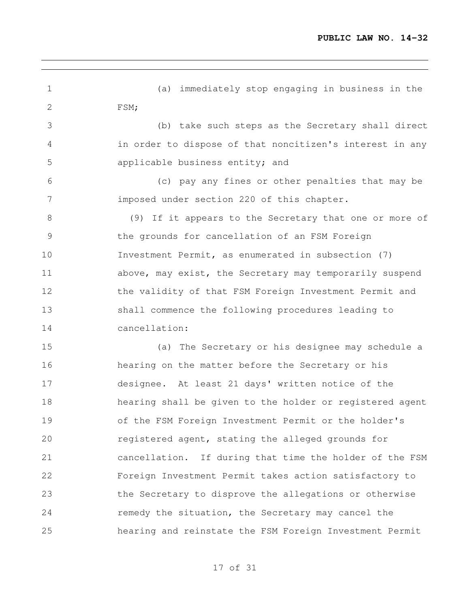<u> 1980 - Johann Barn, amerikansk politiker (d. 1980)</u>

| $\mathbf 1$    | (a) immediately stop engaging in business in the         |
|----------------|----------------------------------------------------------|
| $\overline{2}$ | FSM;                                                     |
| 3              | (b) take such steps as the Secretary shall direct        |
| 4              | in order to dispose of that noncitizen's interest in any |
| 5              | applicable business entity; and                          |
| 6              | (c) pay any fines or other penalties that may be         |
| $7\phantom{.}$ | imposed under section 220 of this chapter.               |
| 8              | (9) If it appears to the Secretary that one or more of   |
| 9              | the grounds for cancellation of an FSM Foreign           |
| 10             | Investment Permit, as enumerated in subsection (7)       |
| 11             | above, may exist, the Secretary may temporarily suspend  |
| 12             | the validity of that FSM Foreign Investment Permit and   |
| 13             | shall commence the following procedures leading to       |
| 14             | cancellation:                                            |
| 15             | (a) The Secretary or his designee may schedule a         |
| 16             | hearing on the matter before the Secretary or his        |
| 17             | designee. At least 21 days' written notice of the        |
| 18             | hearing shall be given to the holder or registered agent |
| 19             | of the FSM Foreign Investment Permit or the holder's     |
| 20             | registered agent, stating the alleged grounds for        |
| 21             | cancellation. If during that time the holder of the FSM  |
| 22             | Foreign Investment Permit takes action satisfactory to   |
| 23             | the Secretary to disprove the allegations or otherwise   |
| 24             | remedy the situation, the Secretary may cancel the       |
| 25             | hearing and reinstate the FSM Foreign Investment Permit  |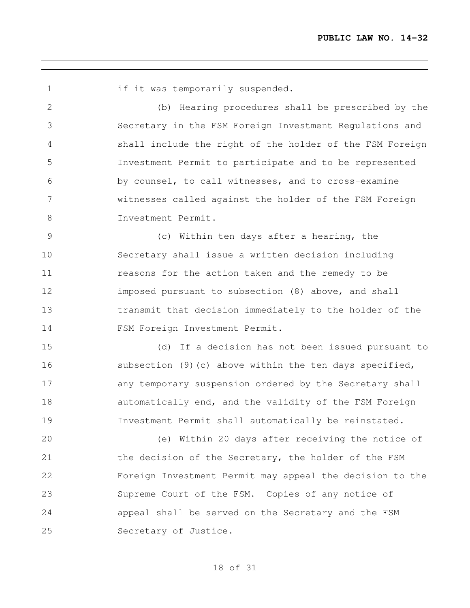1 if it was temporarily suspended. (b) Hearing procedures shall be prescribed by the Secretary in the FSM Foreign Investment Regulations and shall include the right of the holder of the FSM Foreign Investment Permit to participate and to be represented by counsel, to call witnesses, and to cross-examine witnesses called against the holder of the FSM Foreign Investment Permit. (c) Within ten days after a hearing, the

 Secretary shall issue a written decision including reasons for the action taken and the remedy to be imposed pursuant to subsection (8) above, and shall transmit that decision immediately to the holder of the 14 FSM Foreign Investment Permit.

 (d) If a decision has not been issued pursuant to subsection (9)(c) above within the ten days specified, any temporary suspension ordered by the Secretary shall automatically end, and the validity of the FSM Foreign Investment Permit shall automatically be reinstated.

 (e) Within 20 days after receiving the notice of 21 the decision of the Secretary, the holder of the FSM Foreign Investment Permit may appeal the decision to the Supreme Court of the FSM. Copies of any notice of appeal shall be served on the Secretary and the FSM Secretary of Justice.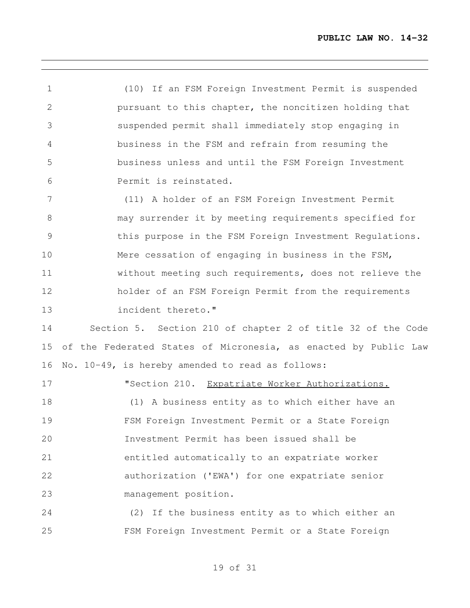(10) If an FSM Foreign Investment Permit is suspended pursuant to this chapter, the noncitizen holding that suspended permit shall immediately stop engaging in business in the FSM and refrain from resuming the business unless and until the FSM Foreign Investment Permit is reinstated.

 (11) A holder of an FSM Foreign Investment Permit may surrender it by meeting requirements specified for this purpose in the FSM Foreign Investment Regulations. Mere cessation of engaging in business in the FSM, without meeting such requirements, does not relieve the holder of an FSM Foreign Permit from the requirements incident thereto."

 Section 5. Section 210 of chapter 2 of title 32 of the Code of the Federated States of Micronesia, as enacted by Public Law No. 10-49, is hereby amended to read as follows:

**"Section 210.** Expatriate Worker Authorizations. (1) A business entity as to which either have an FSM Foreign Investment Permit or a State Foreign Investment Permit has been issued shall be entitled automatically to an expatriate worker authorization ('EWA') for one expatriate senior management position.

 (2) If the business entity as to which either an FSM Foreign Investment Permit or a State Foreign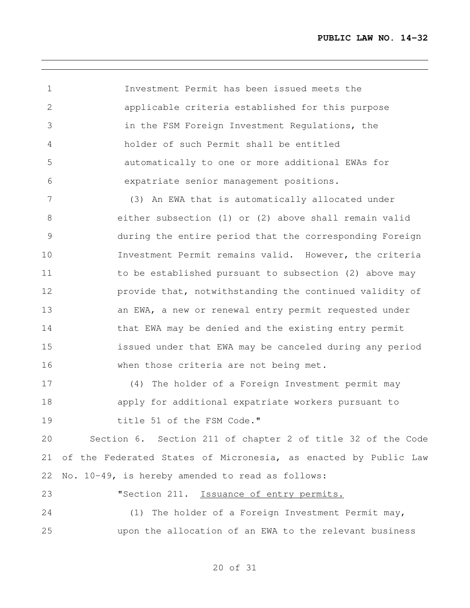Investment Permit has been issued meets the applicable criteria established for this purpose in the FSM Foreign Investment Regulations, the holder of such Permit shall be entitled automatically to one or more additional EWAs for expatriate senior management positions.

 (3) An EWA that is automatically allocated under either subsection (1) or (2) above shall remain valid during the entire period that the corresponding Foreign Investment Permit remains valid. However, the criteria 11 to be established pursuant to subsection (2) above may provide that, notwithstanding the continued validity of 13 an EWA, a new or renewal entry permit requested under 14 that EWA may be denied and the existing entry permit issued under that EWA may be canceled during any period when those criteria are not being met.

 (4) The holder of a Foreign Investment permit may apply for additional expatriate workers pursuant to 19 title 51 of the FSM Code."

 Section 6. Section 211 of chapter 2 of title 32 of the Code of the Federated States of Micronesia, as enacted by Public Law No. 10-49, is hereby amended to read as follows:

**"Section 211.** Issuance of entry permits. (1) The holder of a Foreign Investment Permit may, upon the allocation of an EWA to the relevant business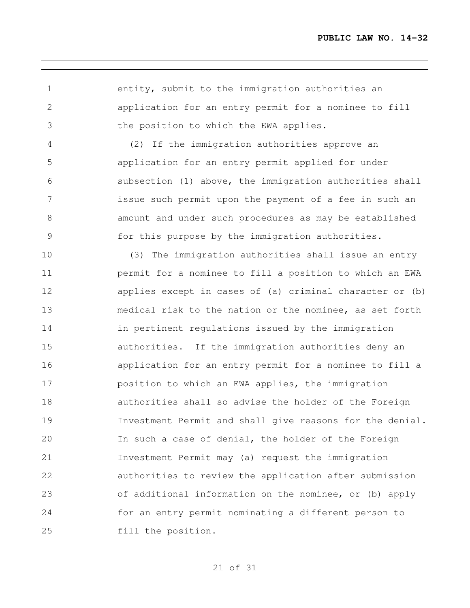entity, submit to the immigration authorities an application for an entry permit for a nominee to fill the position to which the EWA applies.

 (2) If the immigration authorities approve an application for an entry permit applied for under subsection (1) above, the immigration authorities shall issue such permit upon the payment of a fee in such an amount and under such procedures as may be established for this purpose by the immigration authorities.

 (3) The immigration authorities shall issue an entry permit for a nominee to fill a position to which an EWA applies except in cases of (a) criminal character or (b) medical risk to the nation or the nominee, as set forth in pertinent regulations issued by the immigration authorities. If the immigration authorities deny an application for an entry permit for a nominee to fill a position to which an EWA applies, the immigration authorities shall so advise the holder of the Foreign Investment Permit and shall give reasons for the denial. In such a case of denial, the holder of the Foreign Investment Permit may (a) request the immigration authorities to review the application after submission of additional information on the nominee, or (b) apply for an entry permit nominating a different person to fill the position.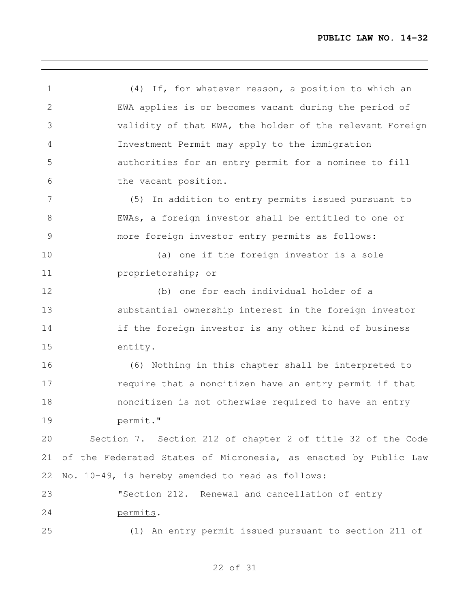(4) If, for whatever reason, a position to which an EWA applies is or becomes vacant during the period of validity of that EWA, the holder of the relevant Foreign Investment Permit may apply to the immigration authorities for an entry permit for a nominee to fill the vacant position. (5) In addition to entry permits issued pursuant to EWAs, a foreign investor shall be entitled to one or more foreign investor entry permits as follows: (a) one if the foreign investor is a sole proprietorship; or (b) one for each individual holder of a substantial ownership interest in the foreign investor 14 if the foreign investor is any other kind of business entity. (6) Nothing in this chapter shall be interpreted to **require that a noncitizen have an entry permit if that**  noncitizen is not otherwise required to have an entry permit." Section 7. Section 212 of chapter 2 of title 32 of the Code of the Federated States of Micronesia, as enacted by Public Law No. 10-49, is hereby amended to read as follows: **"Section 212.** Renewal and cancellation of entry permits. (1) An entry permit issued pursuant to section 211 of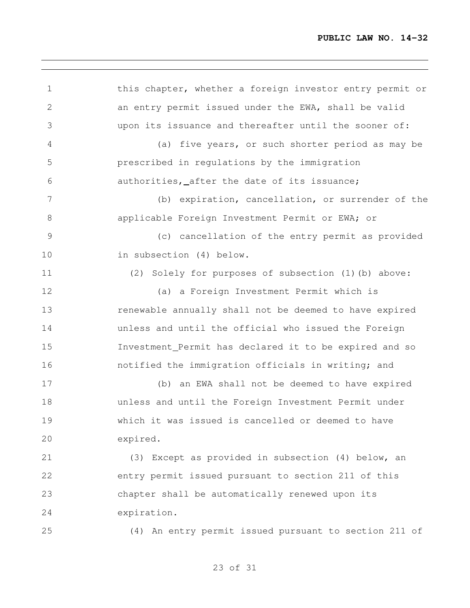this chapter, whether a foreign investor entry permit or an entry permit issued under the EWA, shall be valid upon its issuance and thereafter until the sooner of: (a) five years, or such shorter period as may be prescribed in regulations by the immigration authorities, after the date of its issuance; (b) expiration, cancellation, or surrender of the 8 applicable Foreign Investment Permit or EWA; or (c) cancellation of the entry permit as provided in subsection (4) below. (2) Solely for purposes of subsection (1)(b) above: (a) a Foreign Investment Permit which is **13** renewable annually shall not be deemed to have expired unless and until the official who issued the Foreign Investment Permit has declared it to be expired and so notified the immigration officials in writing; and (b) an EWA shall not be deemed to have expired unless and until the Foreign Investment Permit under which it was issued is cancelled or deemed to have expired. (3) Except as provided in subsection (4) below, an entry permit issued pursuant to section 211 of this chapter shall be automatically renewed upon its expiration. (4) An entry permit issued pursuant to section 211 of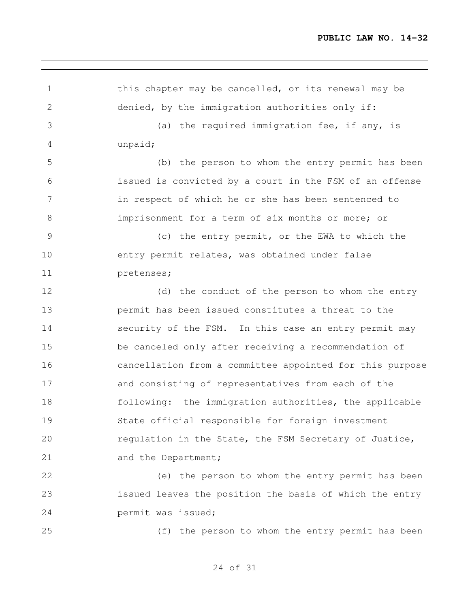| $\mathbf 1$    | this chapter may be cancelled, or its renewal may be     |
|----------------|----------------------------------------------------------|
| $\overline{2}$ | denied, by the immigration authorities only if:          |
| 3              | (a) the required immigration fee, if any, is             |
| 4              | unpaid;                                                  |
| 5              | (b) the person to whom the entry permit has been         |
| 6              | issued is convicted by a court in the FSM of an offense  |
| $\overline{7}$ | in respect of which he or she has been sentenced to      |
| 8              | imprisonment for a term of six months or more; or        |
| 9              | (c) the entry permit, or the EWA to which the            |
| 10             | entry permit relates, was obtained under false           |
| 11             | pretenses;                                               |
| 12             | (d) the conduct of the person to whom the entry          |
| 13             | permit has been issued constitutes a threat to the       |
| 14             | security of the FSM. In this case an entry permit may    |
| 15             | be canceled only after receiving a recommendation of     |
| 16             | cancellation from a committee appointed for this purpose |
| 17             | and consisting of representatives from each of the       |
| 18             | following: the immigration authorities, the applicable   |
| 19             | State official responsible for foreign investment        |
| 20             | regulation in the State, the FSM Secretary of Justice,   |
| 21             | and the Department;                                      |
| 22             | (e) the person to whom the entry permit has been         |
| 23             | issued leaves the position the basis of which the entry  |
| 24             | permit was issued;                                       |
| 25             | (f) the person to whom the entry permit has been         |

,我们也不会有什么。""我们的人,我们也不会有什么?""我们的人,我们也不会有什么?""我们的人,我们也不会有什么?""我们的人,我们也不会有什么?""我们的人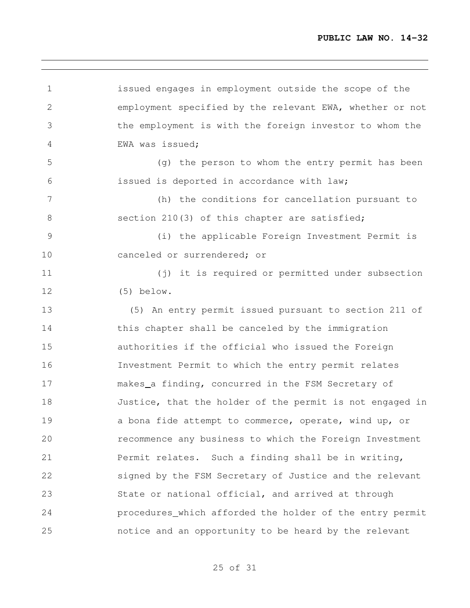<u> 1980 - Johann Barbara, martxa alemaniar argumento este alemaniar alemaniar alemaniar alemaniar alemaniar al</u>

| $\mathbf 1$    | issued engages in employment outside the scope of the    |
|----------------|----------------------------------------------------------|
| $\overline{2}$ | employment specified by the relevant EWA, whether or not |
| 3              | the employment is with the foreign investor to whom the  |
| 4              | EWA was issued;                                          |
| 5              | (g) the person to whom the entry permit has been         |
| 6              | issued is deported in accordance with law;               |
| 7              | (h) the conditions for cancellation pursuant to          |
| 8              | section 210(3) of this chapter are satisfied;            |
| $\mathcal{G}$  | (i) the applicable Foreign Investment Permit is          |
| 10             | canceled or surrendered; or                              |
| 11             | (j) it is required or permitted under subsection         |
| 12             | $(5)$ below.                                             |
| 13             | (5) An entry permit issued pursuant to section 211 of    |
| 14             | this chapter shall be canceled by the immigration        |
| 15             | authorities if the official who issued the Foreign       |
| 16             | Investment Permit to which the entry permit relates      |
| 17             | makes_a finding, concurred in the FSM Secretary of       |
| 18             | Justice, that the holder of the permit is not engaged in |
| 19             | a bona fide attempt to commerce, operate, wind up, or    |
| 20             | recommence any business to which the Foreign Investment  |
| 21             | Permit relates. Such a finding shall be in writing,      |
| 22             | signed by the FSM Secretary of Justice and the relevant  |
| 23             | State or national official, and arrived at through       |
| 24             | procedures_which afforded the holder of the entry permit |
| 25             | notice and an opportunity to be heard by the relevant    |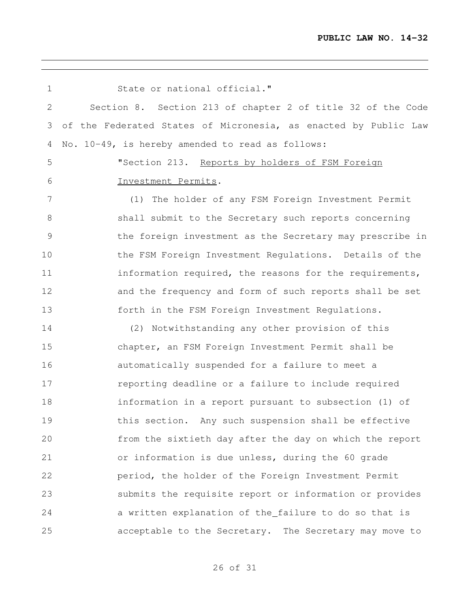<u> 1980 - Johann Barbara, martxa alemaniar argumento este alemaniar alemaniar alemaniar alemaniar alemaniar al</u>

| 1  | State or national official."                                    |
|----|-----------------------------------------------------------------|
| 2  | Section 8. Section 213 of chapter 2 of title 32 of the Code     |
| 3  | of the Federated States of Micronesia, as enacted by Public Law |
| 4  | No. 10-49, is hereby amended to read as follows:                |
| 5  | "Section 213. Reports by holders of FSM Foreign                 |
| 6  | Investment Permits.                                             |
| 7  | (1) The holder of any FSM Foreign Investment Permit             |
| 8  | shall submit to the Secretary such reports concerning           |
| 9  | the foreign investment as the Secretary may prescribe in        |
| 10 | the FSM Foreign Investment Regulations. Details of the          |
| 11 | information required, the reasons for the requirements,         |
| 12 | and the frequency and form of such reports shall be set         |
| 13 | forth in the FSM Foreign Investment Regulations.                |
| 14 | (2) Notwithstanding any other provision of this                 |
| 15 | chapter, an FSM Foreign Investment Permit shall be              |
| 16 | automatically suspended for a failure to meet a                 |
| 17 | reporting deadline or a failure to include required             |
| 18 | information in a report pursuant to subsection (1) of           |
| 19 | this section. Any such suspension shall be effective            |
| 20 | from the sixtieth day after the day on which the report         |
| 21 | or information is due unless, during the 60 grade               |
| 22 | period, the holder of the Foreign Investment Permit             |
| 23 | submits the requisite report or information or provides         |
| 24 | a written explanation of the_failure to do so that is           |
| 25 | acceptable to the Secretary. The Secretary may move to          |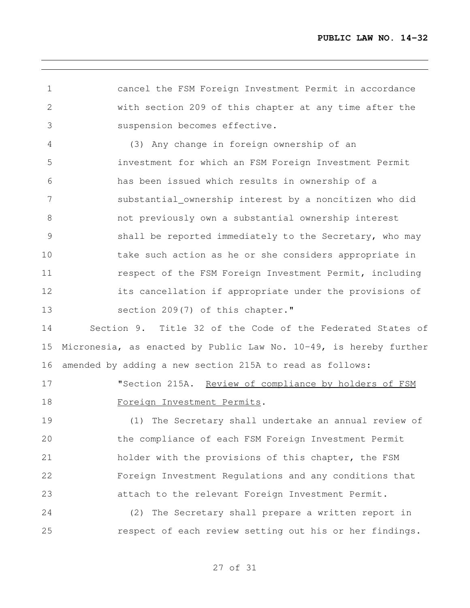cancel the FSM Foreign Investment Permit in accordance with section 209 of this chapter at any time after the suspension becomes effective.

 (3) Any change in foreign ownership of an investment for which an FSM Foreign Investment Permit has been issued which results in ownership of a substantial ownership interest by a noncitizen who did not previously own a substantial ownership interest shall be reported immediately to the Secretary, who may take such action as he or she considers appropriate in **11** respect of the FSM Foreign Investment Permit, including its cancellation if appropriate under the provisions of section 209(7) of this chapter."

 Section 9. Title 32 of the Code of the Federated States of Micronesia, as enacted by Public Law No. 10-49, is hereby further amended by adding a new section 215A to read as follows:

17 "Section 215A. Review of compliance by holders of FSM Foreign Investment Permits.

 (1) The Secretary shall undertake an annual review of the compliance of each FSM Foreign Investment Permit holder with the provisions of this chapter, the FSM Foreign Investment Regulations and any conditions that attach to the relevant Foreign Investment Permit.

 (2) The Secretary shall prepare a written report in 25 respect of each review setting out his or her findings.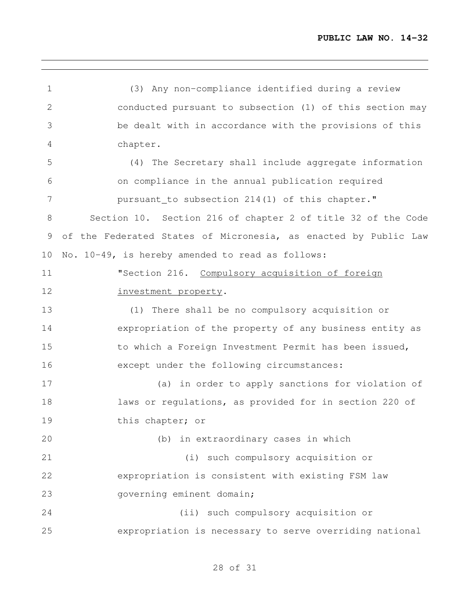<u> 1989 - Johann Stein, marwolaethau a bhann an t-Amhair an t-Amhair an t-Amhair an t-Amhair an t-Amhair an t-A</u>

| 1  | (3) Any non-compliance identified during a review               |
|----|-----------------------------------------------------------------|
| 2  | conducted pursuant to subsection (1) of this section may        |
| 3  | be dealt with in accordance with the provisions of this         |
| 4  | chapter.                                                        |
| 5  | (4) The Secretary shall include aggregate information           |
| 6  | on compliance in the annual publication required                |
| 7  | pursuant_to subsection 214(1) of this chapter."                 |
| 8  | Section 10. Section 216 of chapter 2 of title 32 of the Code    |
| 9  | of the Federated States of Micronesia, as enacted by Public Law |
| 10 | No. 10-49, is hereby amended to read as follows:                |
| 11 | "Section 216. Compulsory acquisition of foreign                 |
| 12 | investment property.                                            |
| 13 | (1) There shall be no compulsory acquisition or                 |
| 14 | expropriation of the property of any business entity as         |
| 15 | to which a Foreign Investment Permit has been issued,           |
| 16 | except under the following circumstances:                       |
| 17 | (a) in order to apply sanctions for violation of                |
| 18 | laws or regulations, as provided for in section 220 of          |
| 19 | this chapter; or                                                |
| 20 | (b) in extraordinary cases in which                             |
| 21 | (i) such compulsory acquisition or                              |
| 22 | expropriation is consistent with existing FSM law               |
| 23 | governing eminent domain;                                       |
| 24 | (ii) such compulsory acquisition or                             |
| 25 | expropriation is necessary to serve overriding national         |

<u> 1989 - Johann Stein, marwolaethau a bhann an t-Amhair an t-Amhair an t-Amhair an t-Amhair an t-Amhair an t-A</u>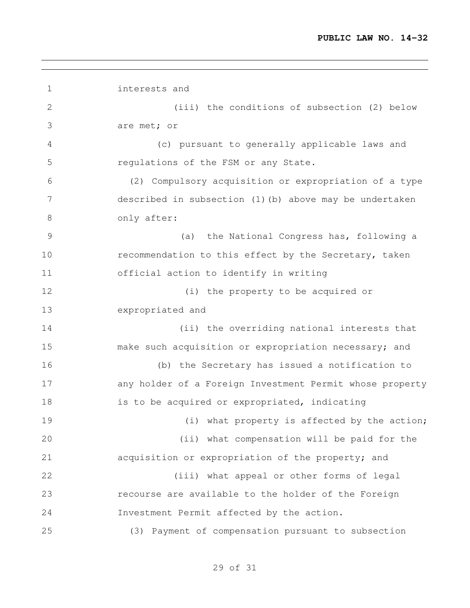interests and (iii) the conditions of subsection (2) below are met; or (c) pursuant to generally applicable laws and regulations of the FSM or any State. (2) Compulsory acquisition or expropriation of a type described in subsection (1)(b) above may be undertaken 8 only after: (a) the National Congress has, following a recommendation to this effect by the Secretary, taken official action to identify in writing 12 (i) the property to be acquired or expropriated and (ii) the overriding national interests that make such acquisition or expropriation necessary; and (b) the Secretary has issued a notification to any holder of a Foreign Investment Permit whose property 18 is to be acquired or expropriated, indicating 19 (i) what property is affected by the action; (ii) what compensation will be paid for the acquisition or expropriation of the property; and (iii) what appeal or other forms of legal recourse are available to the holder of the Foreign Investment Permit affected by the action. (3) Payment of compensation pursuant to subsection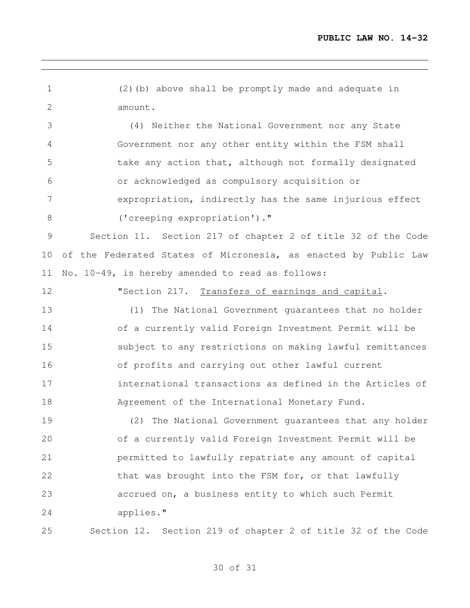(2)(b) above shall be promptly made and adequate in amount.

 (4) Neither the National Government nor any State Government nor any other entity within the FSM shall take any action that, although not formally designated or acknowledged as compulsory acquisition or expropriation, indirectly has the same injurious effect ('creeping expropriation')."

 Section 11. Section 217 of chapter 2 of title 32 of the Code of the Federated States of Micronesia, as enacted by Public Law No. 10-49, is hereby amended to read as follows:

**"Section 217.** Transfers of earnings and capital.

 (1) The National Government guarantees that no holder of a currently valid Foreign Investment Permit will be subject to any restrictions on making lawful remittances of profits and carrying out other lawful current international transactions as defined in the Articles of Agreement of the International Monetary Fund.

 (2) The National Government guarantees that any holder of a currently valid Foreign Investment Permit will be permitted to lawfully repatriate any amount of capital 22 that was brought into the FSM for, or that lawfully accrued on, a business entity to which such Permit applies."

Section 12. Section 219 of chapter 2 of title 32 of the Code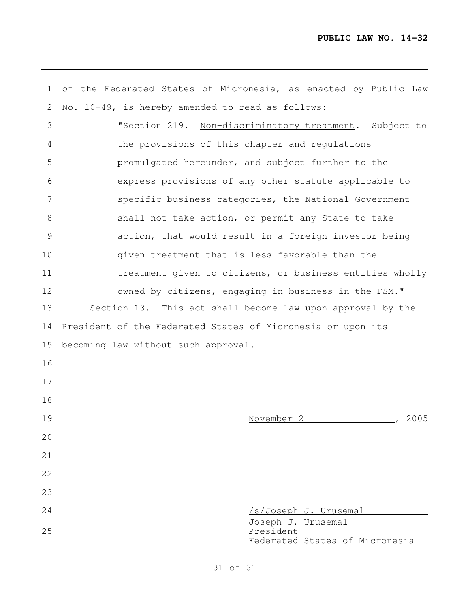<u> 1989 - Johann Stoff, amerikansk politiker (d. 1989)</u>

| $\mathbf{1}$ | of the Federated States of Micronesia, as enacted by Public Law   |
|--------------|-------------------------------------------------------------------|
| 2            | No. 10-49, is hereby amended to read as follows:                  |
| 3            | "Section 219. Non-discriminatory treatment. Subject to            |
| 4            | the provisions of this chapter and regulations                    |
| 5            | promulgated hereunder, and subject further to the                 |
| 6            | express provisions of any other statute applicable to             |
| 7            | specific business categories, the National Government             |
| $8\,$        | shall not take action, or permit any State to take                |
| 9            | action, that would result in a foreign investor being             |
| 10           | given treatment that is less favorable than the                   |
| 11           | treatment given to citizens, or business entities wholly          |
| 12           | owned by citizens, engaging in business in the FSM."              |
| 13           | Section 13. This act shall become law upon approval by the        |
| 14           | President of the Federated States of Micronesia or upon its       |
| 15           | becoming law without such approval.                               |
| 16           |                                                                   |
| 17           |                                                                   |
| 18           |                                                                   |
| 19           | November 2<br>2005                                                |
| 20           |                                                                   |
| 21           |                                                                   |
| 22           |                                                                   |
| 23           |                                                                   |
| 24           | /s/Joseph J. Urusemal                                             |
| 25           | Joseph J. Urusemal<br>President<br>Federated States of Micronesia |

the control of the control of the control of the control of the control of the control of the control of the control of the control of the control of the control of the control of the control of the control of the control